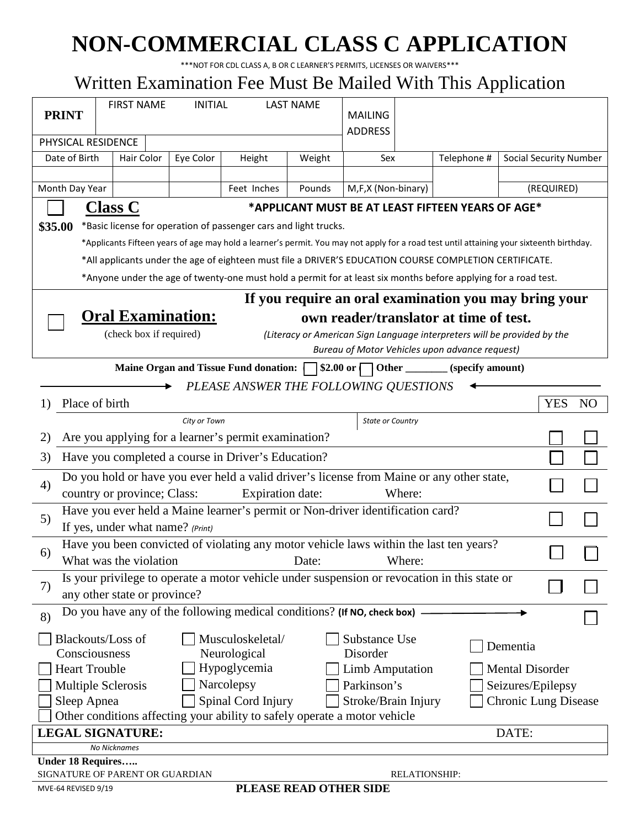# **NON-COMMERCIAL CLASS C APPLICATION**

\*\*\*NOT FOR CDL CLASS A, B OR C LEARNER'S PERMITS, LICENSES OR WAIVERS\*\*\*

# Written Examination Fee Must Be Mailed With This Application

|                                                                                                                                          |                                                                                              |                |                         |                                  |                        |        |             | T T                           |            |                |  |
|------------------------------------------------------------------------------------------------------------------------------------------|----------------------------------------------------------------------------------------------|----------------|-------------------------|----------------------------------|------------------------|--------|-------------|-------------------------------|------------|----------------|--|
|                                                                                                                                          | <b>FIRST NAME</b>                                                                            | <b>INITIAL</b> |                         | <b>LAST NAME</b>                 |                        |        |             |                               |            |                |  |
| <b>PRINT</b>                                                                                                                             |                                                                                              |                |                         |                                  | <b>MAILING</b>         |        |             |                               |            |                |  |
| PHYSICAL RESIDENCE                                                                                                                       |                                                                                              |                |                         |                                  | <b>ADDRESS</b>         |        |             |                               |            |                |  |
|                                                                                                                                          |                                                                                              |                |                         |                                  |                        |        |             |                               |            |                |  |
| Date of Birth                                                                                                                            | Hair Color                                                                                   | Eye Color      | Height                  | Weight                           | Sex                    |        | Telephone # | <b>Social Security Number</b> |            |                |  |
|                                                                                                                                          |                                                                                              |                |                         |                                  |                        |        |             |                               |            |                |  |
| Month Day Year<br>Feet Inches<br>Pounds                                                                                                  |                                                                                              |                |                         | M,F,X (Non-binary)<br>(REQUIRED) |                        |        |             |                               |            |                |  |
| <b>Class C</b><br>*APPLICANT MUST BE AT LEAST FIFTEEN YEARS OF AGE*                                                                      |                                                                                              |                |                         |                                  |                        |        |             |                               |            |                |  |
| *Basic license for operation of passenger cars and light trucks.<br>\$35.00                                                              |                                                                                              |                |                         |                                  |                        |        |             |                               |            |                |  |
|                                                                                                                                          |                                                                                              |                |                         |                                  |                        |        |             |                               |            |                |  |
| *Applicants Fifteen years of age may hold a learner's permit. You may not apply for a road test until attaining your sixteenth birthday. |                                                                                              |                |                         |                                  |                        |        |             |                               |            |                |  |
| *All applicants under the age of eighteen must file a DRIVER'S EDUCATION COURSE COMPLETION CERTIFICATE.                                  |                                                                                              |                |                         |                                  |                        |        |             |                               |            |                |  |
| *Anyone under the age of twenty-one must hold a permit for at least six months before applying for a road test.                          |                                                                                              |                |                         |                                  |                        |        |             |                               |            |                |  |
| If you require an oral examination you may bring your                                                                                    |                                                                                              |                |                         |                                  |                        |        |             |                               |            |                |  |
|                                                                                                                                          | <b>Oral Examination:</b><br>own reader/translator at time of test.                           |                |                         |                                  |                        |        |             |                               |            |                |  |
| (check box if required)<br>(Literacy or American Sign Language interpreters will be provided by the                                      |                                                                                              |                |                         |                                  |                        |        |             |                               |            |                |  |
| Bureau of Motor Vehicles upon advance request)                                                                                           |                                                                                              |                |                         |                                  |                        |        |             |                               |            |                |  |
| Maine Organ and Tissue Fund donation:     \$2.00 or   Other ________ (specify amount)                                                    |                                                                                              |                |                         |                                  |                        |        |             |                               |            |                |  |
| PLEASE ANSWER THE FOLLOWING QUESTIONS                                                                                                    |                                                                                              |                |                         |                                  |                        |        |             |                               |            |                |  |
| Place of birth<br>1)                                                                                                                     |                                                                                              |                |                         |                                  |                        |        |             |                               | <b>YES</b> | N <sub>O</sub> |  |
| City or Town<br><b>State or Country</b>                                                                                                  |                                                                                              |                |                         |                                  |                        |        |             |                               |            |                |  |
| 2)                                                                                                                                       | Are you applying for a learner's permit examination?                                         |                |                         |                                  |                        |        |             |                               |            |                |  |
| Have you completed a course in Driver's Education?<br>3)                                                                                 |                                                                                              |                |                         |                                  |                        |        |             |                               |            |                |  |
| Do you hold or have you ever held a valid driver's license from Maine or any other state,                                                |                                                                                              |                |                         |                                  |                        |        |             |                               |            |                |  |
| 4)                                                                                                                                       | country or province; Class:                                                                  |                | <b>Expiration date:</b> |                                  |                        | Where: |             |                               |            |                |  |
| Have you ever held a Maine learner's permit or Non-driver identification card?                                                           |                                                                                              |                |                         |                                  |                        |        |             |                               |            |                |  |
| 5)                                                                                                                                       | If yes, under what name? (Print)                                                             |                |                         |                                  |                        |        |             |                               |            |                |  |
|                                                                                                                                          | Have you been convicted of violating any motor vehicle laws within the last ten years?       |                |                         |                                  |                        |        |             |                               |            |                |  |
| 6)                                                                                                                                       | What was the violation                                                                       |                | <b>Example 12</b> Date: |                                  |                        | Where: |             |                               |            |                |  |
|                                                                                                                                          | Is your privilege to operate a motor vehicle under suspension or revocation in this state or |                |                         |                                  |                        |        |             |                               |            |                |  |
| 7)                                                                                                                                       | any other state or province?                                                                 |                |                         |                                  |                        |        |             |                               |            |                |  |
| 8)                                                                                                                                       | Do you have any of the following medical conditions? (If NO, check box)                      |                |                         |                                  |                        |        |             |                               |            |                |  |
|                                                                                                                                          |                                                                                              |                |                         |                                  |                        |        |             |                               |            |                |  |
|                                                                                                                                          | <b>Blackouts/Loss of</b>                                                                     |                | Musculoskeletal/        |                                  | Substance Use          |        |             | Dementia                      |            |                |  |
| Consciousness                                                                                                                            |                                                                                              |                | Neurological            |                                  | Disorder               |        |             |                               |            |                |  |
| <b>Heart Trouble</b>                                                                                                                     |                                                                                              |                | Hypoglycemia            |                                  | <b>Limb Amputation</b> |        |             | <b>Mental Disorder</b>        |            |                |  |
|                                                                                                                                          | Narcolepsy<br>Parkinson's<br>Seizures/Epilepsy<br>Multiple Sclerosis                         |                |                         |                                  |                        |        |             |                               |            |                |  |
| Spinal Cord Injury<br>Sleep Apnea<br>Stroke/Brain Injury<br><b>Chronic Lung Disease</b>                                                  |                                                                                              |                |                         |                                  |                        |        |             |                               |            |                |  |
| Other conditions affecting your ability to safely operate a motor vehicle                                                                |                                                                                              |                |                         |                                  |                        |        |             |                               |            |                |  |
|                                                                                                                                          | <b>LEGAL SIGNATURE:</b>                                                                      |                |                         |                                  |                        |        |             | DATE:                         |            |                |  |
| No Nicknames                                                                                                                             |                                                                                              |                |                         |                                  |                        |        |             |                               |            |                |  |
| Under 18 Requires                                                                                                                        |                                                                                              |                |                         |                                  |                        |        |             |                               |            |                |  |
| SIGNATURE OF PARENT OR GUARDIAN<br><b>RELATIONSHIP:</b><br>PLEASE READ OTHER SIDE                                                        |                                                                                              |                |                         |                                  |                        |        |             |                               |            |                |  |
| MVE-64 REVISED 9/19                                                                                                                      |                                                                                              |                |                         |                                  |                        |        |             |                               |            |                |  |